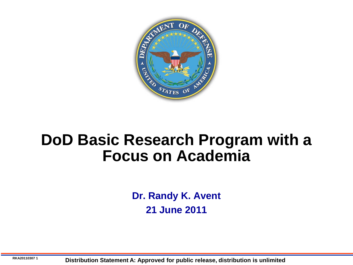

## **DoD Basic Research Program with a Focus on Academia**

**Dr. Randy K. Avent 21 June 2011**

**RKA20110307 1 Distribution Statement A: Approved for public release, distribution is unlimited**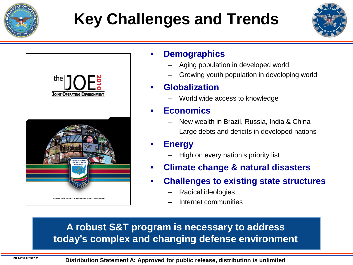

# **Key Challenges and Trends**





#### • **Demographics**

- Aging population in developed world
- Growing youth population in developing world

#### • **Globalization**

– World wide access to knowledge

#### • **Economics**

- New wealth in Brazil, Russia, India & China
- Large debts and deficits in developed nations

#### • **Energy**

- High on every nation's priority list
- **Climate change & natural disasters**
- **Challenges to existing state structures**
	- Radical ideologies
	- Internet communities

### **A robust S&T program is necessary to address today's complex and changing defense environment**

**RKA20110307 <sup>2</sup> Distribution Statement A: Approved for public release, distribution is unlimited**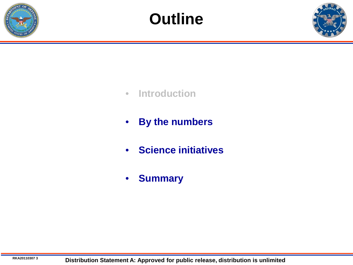



- **Introduction**
- **By the numbers**
- **Science initiatives**
- **Summary**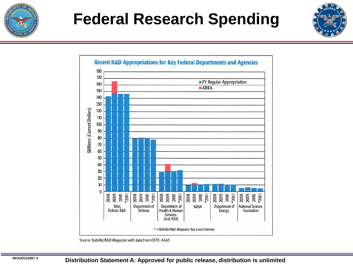

## **Federal Research Spending**





Source: Battelle/R&D Magazine with data from OSTP, AAAS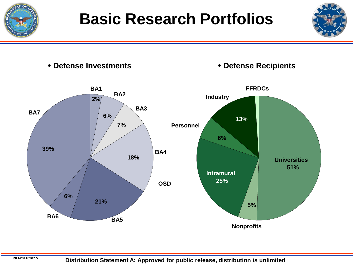



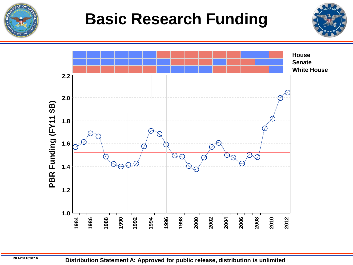

## **Basic Research Funding**





**RKA20110307 <sup>6</sup> Distribution Statement A: Approved for public release, distribution is unlimited**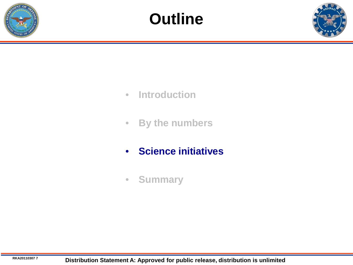



- **Introduction**
- **By the numbers**
- **Science initiatives**
- **Summary**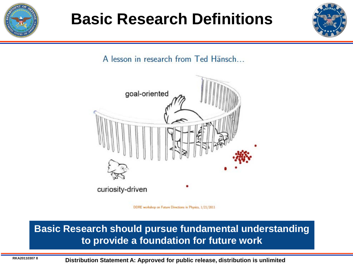

## **Basic Research Definitions**



A lesson in research from Ted Hänsch...



DDRE workshop on Future Directions in Physics, 1/21/2011

#### **Basic Research should pursue fundamental understanding to provide a foundation for future work**

**RKA20110307 <sup>8</sup> Distribution Statement A: Approved for public release, distribution is unlimited**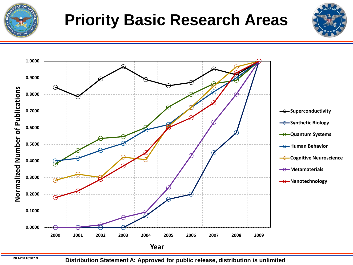

# **Priority Basic Research Areas**





**RKA20110307 <sup>9</sup> Distribution Statement A: Approved for public release, distribution is unlimited**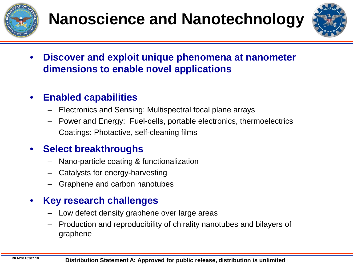

# **Nanoscience and Nanotechnology**



• **Discover and exploit unique phenomena at nanometer dimensions to enable novel applications**

### • **Enabled capabilities**

- Electronics and Sensing: Multispectral focal plane arrays
- Power and Energy: Fuel-cells, portable electronics, thermoelectrics
- Coatings: Photactive, self-cleaning films

## • **Select breakthroughs**

- Nano-particle coating & functionalization
- Catalysts for energy-harvesting
- Graphene and carbon nanotubes

- Low defect density graphene over large areas
- Production and reproducibility of chirality nanotubes and bilayers of graphene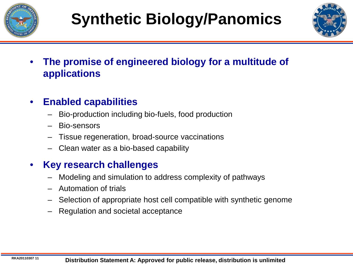



• **The promise of engineered biology for a multitude of applications**

#### • **Enabled capabilities**

- Bio-production including bio-fuels, food production
- Bio-sensors
- Tissue regeneration, broad-source vaccinations
- Clean water as a bio-based capability

- Modeling and simulation to address complexity of pathways
- Automation of trials
- Selection of appropriate host cell compatible with synthetic genome
- Regulation and societal acceptance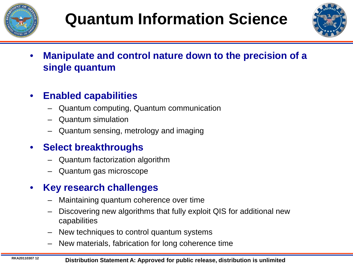



- **Manipulate and control nature down to the precision of a single quantum**
- **Enabled capabilities**
	- Quantum computing, Quantum communication
	- Quantum simulation
	- Quantum sensing, metrology and imaging

## • **Select breakthroughs**

- Quantum factorization algorithm
- Quantum gas microscope

- Maintaining quantum coherence over time
- Discovering new algorithms that fully exploit QIS for additional new capabilities
- New techniques to control quantum systems
- New materials, fabrication for long coherence time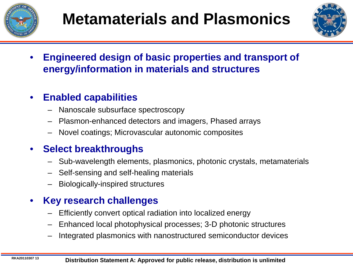



• **Engineered design of basic properties and transport of energy/information in materials and structures**

## • **Enabled capabilities**

- Nanoscale subsurface spectroscopy
- Plasmon-enhanced detectors and imagers, Phased arrays
- Novel coatings; Microvascular autonomic composites

## • **Select breakthroughs**

- Sub-wavelength elements, plasmonics, photonic crystals, metamaterials
- Self-sensing and self-healing materials
- Biologically-inspired structures

- Efficiently convert optical radiation into localized energy
- Enhanced local photophysical processes; 3-D photonic structures
- Integrated plasmonics with nanostructured semiconductor devices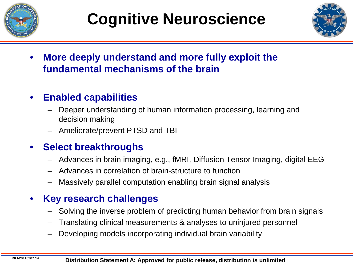



• **More deeply understand and more fully exploit the fundamental mechanisms of the brain**

## • **Enabled capabilities**

- Deeper understanding of human information processing, learning and decision making
- Ameliorate/prevent PTSD and TBI

## • **Select breakthroughs**

- Advances in brain imaging, e.g., fMRI, Diffusion Tensor Imaging, digital EEG
- Advances in correlation of brain-structure to function
- Massively parallel computation enabling brain signal analysis

- Solving the inverse problem of predicting human behavior from brain signals
- Translating clinical measurements & analyses to uninjured personnel
- Developing models incorporating individual brain variability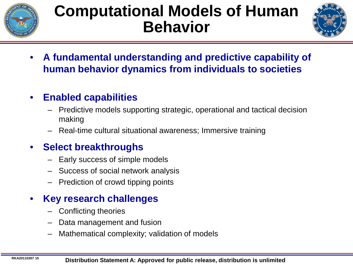

## **Computational Models of Human Behavior**



• **A fundamental understanding and predictive capability of human behavior dynamics from individuals to societies**

## • **Enabled capabilities**

- Predictive models supporting strategic, operational and tactical decision making
- Real-time cultural situational awareness; Immersive training

## • **Select breakthroughs**

- Early success of simple models
- Success of social network analysis
- Prediction of crowd tipping points

- Conflicting theories
- Data management and fusion
- Mathematical complexity; validation of models